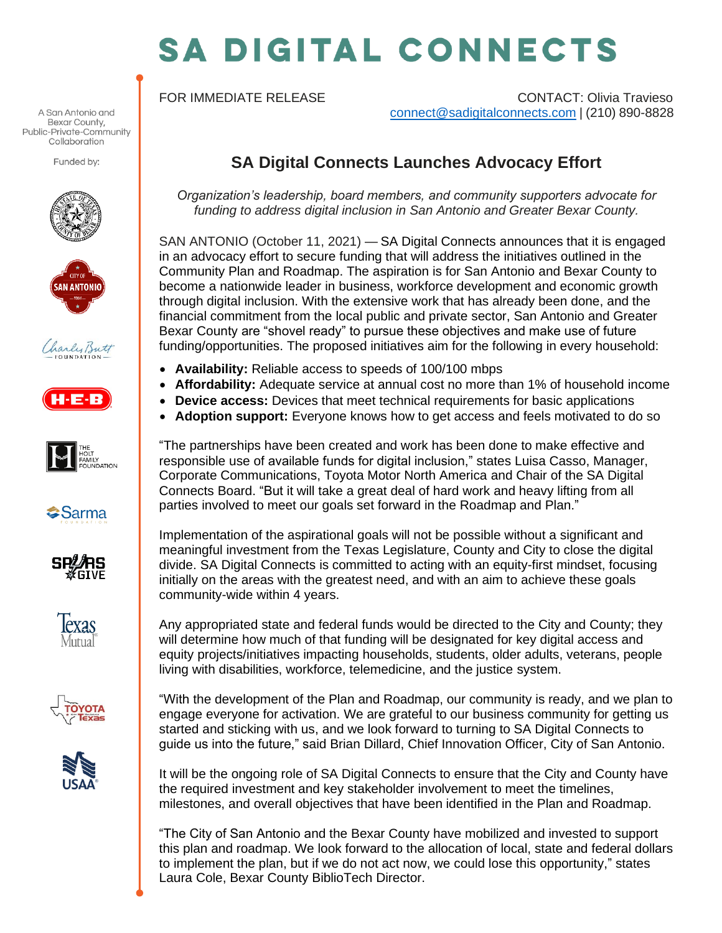## **SA DIGITAL CONNECTS**

FOR IMMEDIATE RELEASE CONTACT: Olivia Travieso [connect@sadigitalconnects.com](mailto:connect@sadigitalconnects.com) | (210) 890-8828

## **SA Digital Connects Launches Advocacy Effort**

*Organization's leadership, board members, and community supporters advocate for funding to address digital inclusion in San Antonio and Greater Bexar County.*

SAN ANTONIO (October 11, 2021) — SA Digital Connects announces that it is engaged in an advocacy effort to secure funding that will address the initiatives outlined in the Community Plan and Roadmap. The aspiration is for San Antonio and Bexar County to become a nationwide leader in business, workforce development and economic growth through digital inclusion. With the extensive work that has already been done, and the financial commitment from the local public and private sector, San Antonio and Greater Bexar County are "shovel ready" to pursue these objectives and make use of future funding/opportunities. The proposed initiatives aim for the following in every household:

- **Availability:** Reliable access to speeds of 100/100 mbps
- **Affordability:** Adequate service at annual cost no more than 1% of household income
- **Device access:** Devices that meet technical requirements for basic applications
- **Adoption support:** Everyone knows how to get access and feels motivated to do so

"The partnerships have been created and work has been done to make effective and responsible use of available funds for digital inclusion," states Luisa Casso, Manager, Corporate Communications, Toyota Motor North America and Chair of the SA Digital Connects Board. "But it will take a great deal of hard work and heavy lifting from all parties involved to meet our goals set forward in the Roadmap and Plan."

Implementation of the aspirational goals will not be possible without a significant and meaningful investment from the Texas Legislature, County and City to close the digital divide. SA Digital Connects is committed to acting with an equity-first mindset, focusing initially on the areas with the greatest need, and with an aim to achieve these goals community-wide within 4 years.

Any appropriated state and federal funds would be directed to the City and County; they will determine how much of that funding will be designated for key digital access and equity projects/initiatives impacting households, students, older adults, veterans, people living with disabilities, workforce, telemedicine, and the justice system.

"With the development of the Plan and Roadmap, our community is ready, and we plan to engage everyone for activation. We are grateful to our business community for getting us started and sticking with us, and we look forward to turning to SA Digital Connects to guide us into the future," said Brian Dillard, Chief Innovation Officer, City of San Antonio.

It will be the ongoing role of SA Digital Connects to ensure that the City and County have the required investment and key stakeholder involvement to meet the timelines, milestones, and overall objectives that have been identified in the Plan and Roadmap.

"The City of San Antonio and the Bexar County have mobilized and invested to support this plan and roadmap. We look forward to the allocation of local, state and federal dollars to implement the plan, but if we do not act now, we could lose this opportunity," states Laura Cole, Bexar County BiblioTech Director.

A San Antonio and Bexar County, Public-Private-Community Collaboration

Funded by: